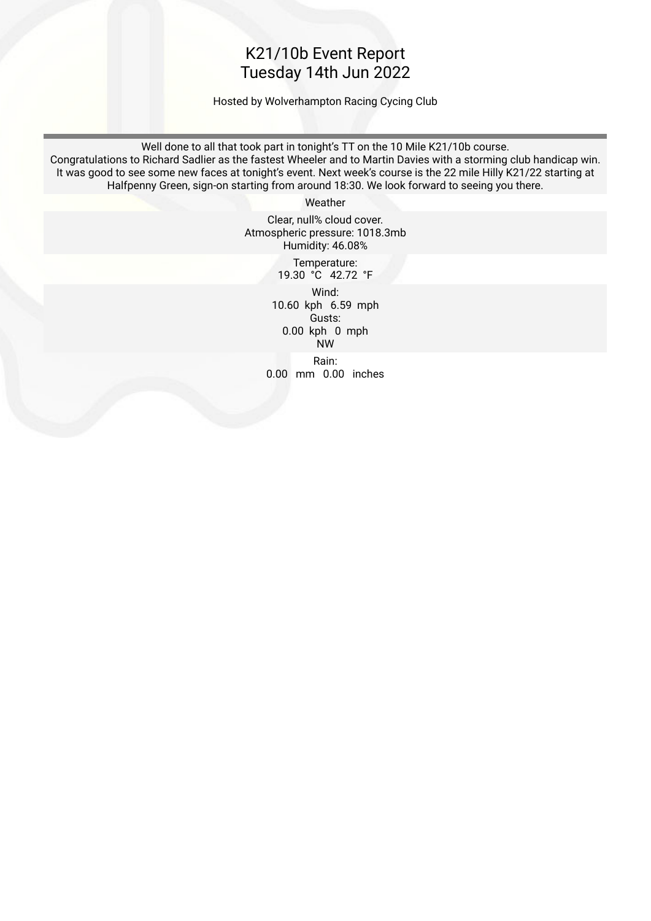### K21/10b Event Report Tuesday 14th Jun 2022

Hosted by Wolverhampton Racing Cycing Club

Well done to all that took part in tonight's TT on the 10 Mile K21/10b course. Congratulations to Richard Sadlier as the fastest Wheeler and to Martin Davies with a storming club handicap win. It was good to see some new faces at tonight's event. Next week's course is the 22 mile Hilly K21/22 starting at Halfpenny Green, sign-on starting from around 18:30. We look forward to seeing you there.

Weather

Clear, null% cloud cover. Atmospheric pressure: 1018.3mb Humidity: 46.08%

 Temperature: 19.30 °C 42.72 °F

 Wind: 10.60 kph 6.59 mph Gusts: 0.00 kph 0 mph NW

 Rain: 0.00 mm 0.00 inches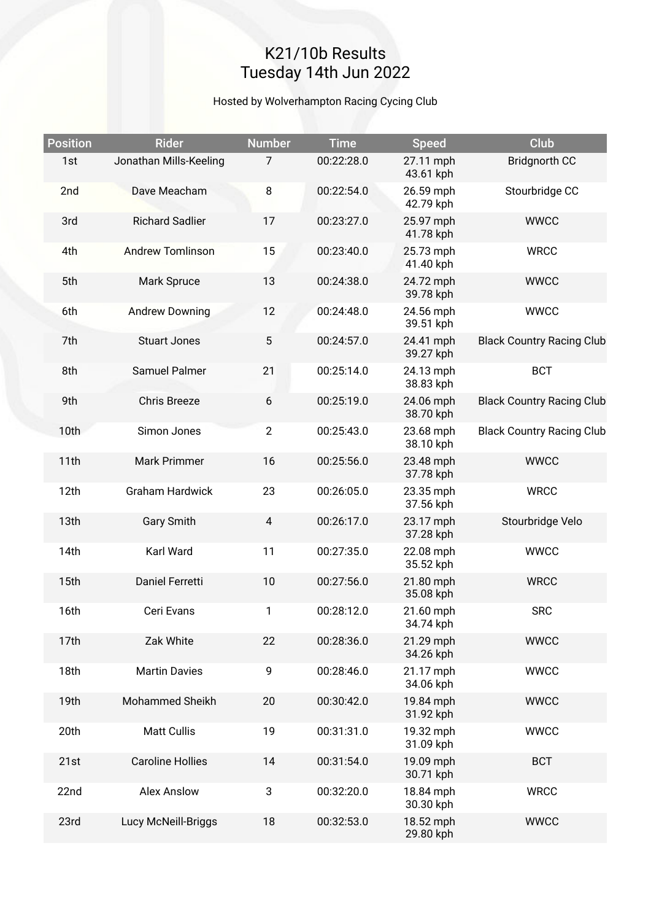# K21/10b Results Tuesday 14th Jun 2022

#### Hosted by Wolverhampton Racing Cycing Club

| <b>Position</b> | <b>Rider</b>            | <b>Number</b>  | <b>Time</b> | <b>Speed</b>           | Club                             |
|-----------------|-------------------------|----------------|-------------|------------------------|----------------------------------|
| 1st             | Jonathan Mills-Keeling  | 7              | 00:22:28.0  | 27.11 mph<br>43.61 kph | <b>Bridgnorth CC</b>             |
| 2nd             | Dave Meacham            | 8              | 00:22:54.0  | 26.59 mph<br>42.79 kph | Stourbridge CC                   |
| 3rd             | <b>Richard Sadlier</b>  | 17             | 00:23:27.0  | 25.97 mph<br>41.78 kph | <b>WWCC</b>                      |
| 4th             | <b>Andrew Tomlinson</b> | 15             | 00:23:40.0  | 25.73 mph<br>41.40 kph | <b>WRCC</b>                      |
| 5th             | Mark Spruce             | 13             | 00:24:38.0  | 24.72 mph<br>39.78 kph | <b>WWCC</b>                      |
| 6th             | <b>Andrew Downing</b>   | 12             | 00:24:48.0  | 24.56 mph<br>39.51 kph | <b>WWCC</b>                      |
| 7th             | <b>Stuart Jones</b>     | 5              | 00:24:57.0  | 24.41 mph<br>39.27 kph | <b>Black Country Racing Club</b> |
| 8th             | Samuel Palmer           | 21             | 00:25:14.0  | 24.13 mph<br>38.83 kph | <b>BCT</b>                       |
| 9th             | <b>Chris Breeze</b>     | 6              | 00:25:19.0  | 24.06 mph<br>38.70 kph | <b>Black Country Racing Club</b> |
| 10th            | Simon Jones             | $\mathbf{2}$   | 00:25:43.0  | 23.68 mph<br>38.10 kph | <b>Black Country Racing Club</b> |
| 11th            | Mark Primmer            | 16             | 00:25:56.0  | 23.48 mph<br>37.78 kph | <b>WWCC</b>                      |
| 12th            | <b>Graham Hardwick</b>  | 23             | 00:26:05.0  | 23.35 mph<br>37.56 kph | <b>WRCC</b>                      |
| 13th            | <b>Gary Smith</b>       | $\overline{4}$ | 00:26:17.0  | 23.17 mph<br>37.28 kph | Stourbridge Velo                 |
| 14th            | Karl Ward               | 11             | 00:27:35.0  | 22.08 mph<br>35.52 kph | <b>WWCC</b>                      |
| 15th            | Daniel Ferretti         | 10             | 00:27:56.0  | 21.80 mph<br>35.08 kph | <b>WRCC</b>                      |
| 16th            | Ceri Evans              | 1              | 00:28:12.0  | 21.60 mph<br>34.74 kph | <b>SRC</b>                       |
| 17th            | Zak White               | 22             | 00:28:36.0  | 21.29 mph<br>34.26 kph | <b>WWCC</b>                      |
| 18th            | <b>Martin Davies</b>    | 9              | 00:28:46.0  | 21.17 mph<br>34.06 kph | <b>WWCC</b>                      |
| 19th            | Mohammed Sheikh         | 20             | 00:30:42.0  | 19.84 mph<br>31.92 kph | <b>WWCC</b>                      |
| 20th            | <b>Matt Cullis</b>      | 19             | 00:31:31.0  | 19.32 mph<br>31.09 kph | <b>WWCC</b>                      |
| 21st            | <b>Caroline Hollies</b> | 14             | 00:31:54.0  | 19.09 mph<br>30.71 kph | <b>BCT</b>                       |
| 22nd            | <b>Alex Anslow</b>      | 3              | 00:32:20.0  | 18.84 mph<br>30.30 kph | <b>WRCC</b>                      |
| 23rd            | Lucy McNeill-Briggs     | 18             | 00:32:53.0  | 18.52 mph<br>29.80 kph | <b>WWCC</b>                      |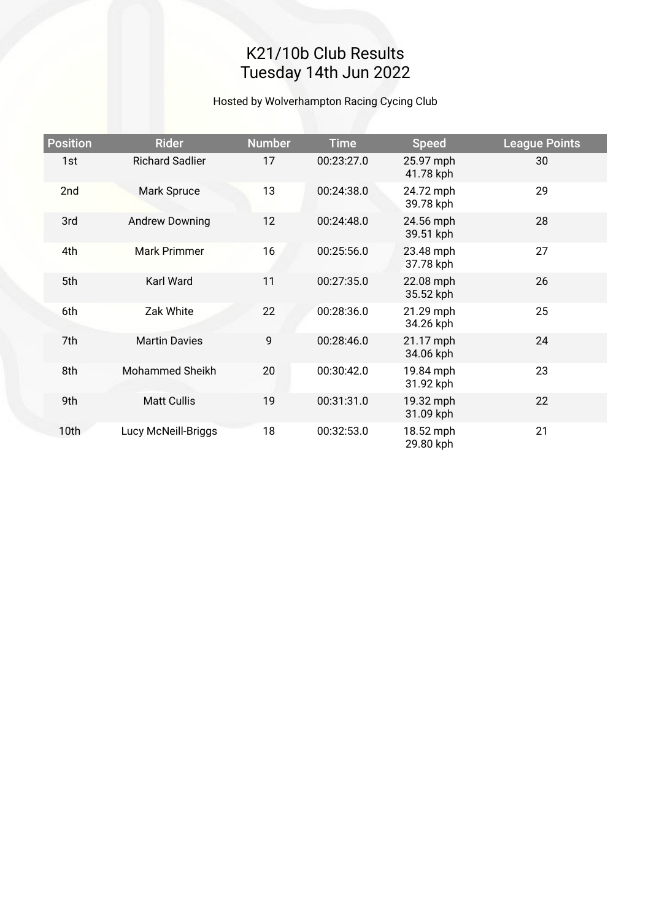# K21/10b Club Results Tuesday 14th Jun 2022

#### Hosted by Wolverhampton Racing Cycing Club

| <b>Position</b> | <b>Rider</b>           | <b>Number</b> | <b>Time</b> | <b>Speed</b>           | <b>League Points</b> |
|-----------------|------------------------|---------------|-------------|------------------------|----------------------|
| 1st             | <b>Richard Sadlier</b> | 17            | 00:23:27.0  | 25.97 mph<br>41.78 kph | 30                   |
| 2nd             | Mark Spruce            | 13            | 00:24:38.0  | 24.72 mph<br>39.78 kph | 29                   |
| 3rd             | <b>Andrew Downing</b>  | 12            | 00:24:48.0  | 24.56 mph<br>39.51 kph | 28                   |
| 4th             | <b>Mark Primmer</b>    | 16            | 00:25:56.0  | 23.48 mph<br>37.78 kph | 27                   |
| 5th             | Karl Ward              | 11            | 00:27:35.0  | 22.08 mph<br>35.52 kph | 26                   |
| 6th             | Zak White              | 22            | 00:28:36.0  | 21.29 mph<br>34.26 kph | 25                   |
| 7th             | <b>Martin Davies</b>   | 9             | 00:28:46.0  | 21.17 mph<br>34.06 kph | 24                   |
| 8th             | <b>Mohammed Sheikh</b> | 20            | 00:30:42.0  | 19.84 mph<br>31.92 kph | 23                   |
| 9th             | <b>Matt Cullis</b>     | 19            | 00:31:31.0  | 19.32 mph<br>31.09 kph | 22                   |
| 10th            | Lucy McNeill-Briggs    | 18            | 00:32:53.0  | 18.52 mph<br>29.80 kph | 21                   |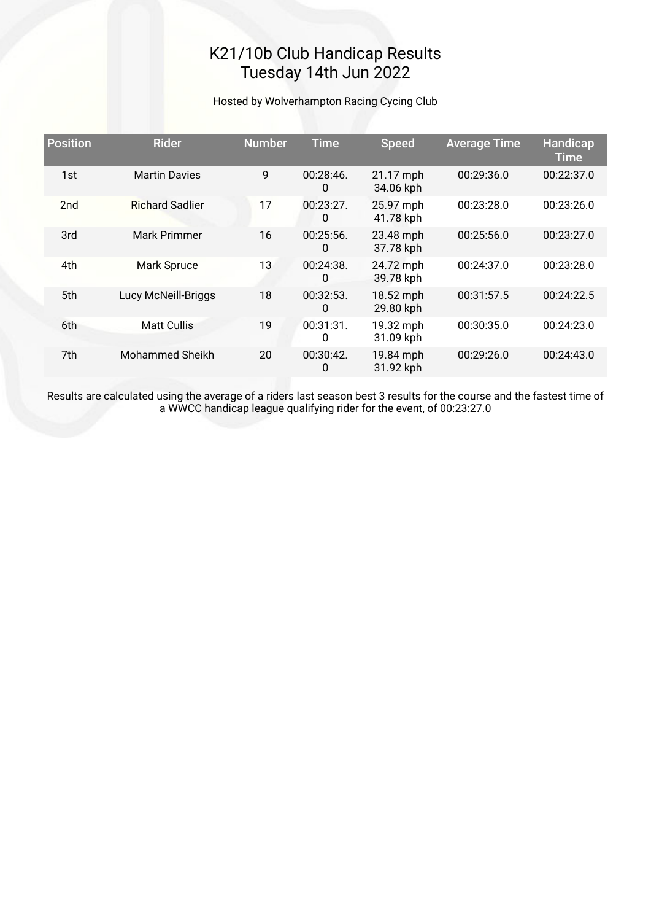## K21/10b Club Handicap Results Tuesday 14th Jun 2022

#### Hosted by Wolverhampton Racing Cycing Club

| <b>Position</b> | <b>Rider</b>           | <b>Number</b> | <b>Time</b>       | <b>Speed</b>           | <b>Average Time</b> | Handicap<br><b>Time</b> |
|-----------------|------------------------|---------------|-------------------|------------------------|---------------------|-------------------------|
| 1st             | <b>Martin Davies</b>   | 9             | 00:28:46.<br>0    | 21.17 mph<br>34.06 kph | 00:29:36.0          | 00:22:37.0              |
| 2 <sub>nd</sub> | <b>Richard Sadlier</b> | 17            | $00:23:27$ .<br>0 | 25.97 mph<br>41.78 kph | 00:23:28.0          | 00:23:26.0              |
| 3rd             | Mark Primmer           | 16            | $00:25:56$ .<br>0 | 23.48 mph<br>37.78 kph | 00:25:56.0          | 00:23:27.0              |
| 4th             | Mark Spruce            | 13            | 00:24:38.<br>0    | 24.72 mph<br>39.78 kph | 00:24:37.0          | 00:23:28.0              |
| 5th             | Lucy McNeill-Briggs    | 18            | 00:32:53.<br>0    | 18.52 mph<br>29.80 kph | 00:31:57.5          | 00:24:22.5              |
| 6th             | <b>Matt Cullis</b>     | 19            | 00:31:31.<br>0    | 19.32 mph<br>31.09 kph | 00:30:35.0          | 00:24:23.0              |
| 7th             | Mohammed Sheikh        | 20            | 00:30:42.<br>0    | 19.84 mph<br>31.92 kph | 00:29:26.0          | 00:24:43.0              |

Results are calculated using the average of a riders last season best 3 results for the course and the fastest time of a WWCC handicap league qualifying rider for the event, of 00:23:27.0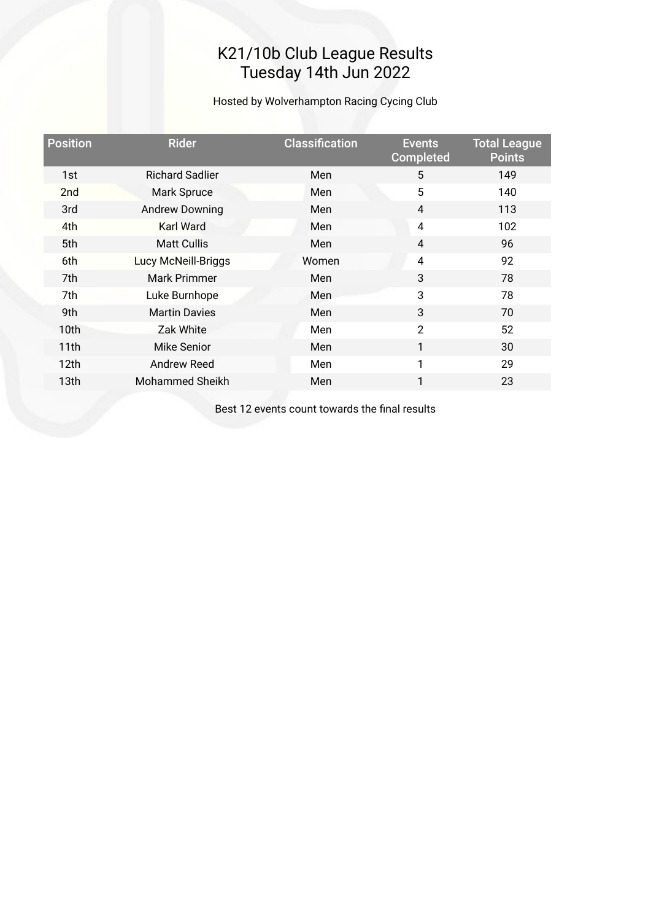### K21/10b Club League Results Tuesday 14th Jun 2022

Hosted by Wolverhampton Racing Cycing Club

| <b>Position</b> | <b>Rider</b>           | <b>Classification</b> | <b>Events</b><br><b>Completed</b> | <b>Total League</b><br><b>Points</b> |
|-----------------|------------------------|-----------------------|-----------------------------------|--------------------------------------|
| 1st             | <b>Richard Sadlier</b> | Men                   | 5                                 | 149                                  |
| 2 <sub>nd</sub> | Mark Spruce            | Men                   | 5                                 | 140                                  |
| 3rd             | <b>Andrew Downing</b>  | Men                   | 4                                 | 113                                  |
| 4th             | <b>Karl Ward</b>       | Men                   | 4                                 | 102                                  |
| 5th             | <b>Matt Cullis</b>     | Men                   | $\overline{4}$                    | 96                                   |
| 6th             | Lucy McNeill-Briggs    | Women                 | 4                                 | 92                                   |
| 7th             | Mark Primmer           | Men                   | 3                                 | 78                                   |
| 7th             | Luke Burnhope          | <b>Men</b>            | 3                                 | 78                                   |
| 9th             | <b>Martin Davies</b>   | Men                   | 3                                 | 70                                   |
| 10th            | Zak White              | Men                   | $\overline{2}$                    | 52                                   |
| 11th            | Mike Senior            | Men                   | $\mathbf{1}$                      | 30                                   |
| 12th            | Andrew Reed            | Men                   | 1                                 | 29                                   |
| 13th            | Mohammed Sheikh        | Men                   | 1                                 | 23                                   |
|                 |                        |                       |                                   |                                      |

Best 12 events count towards the fnal results